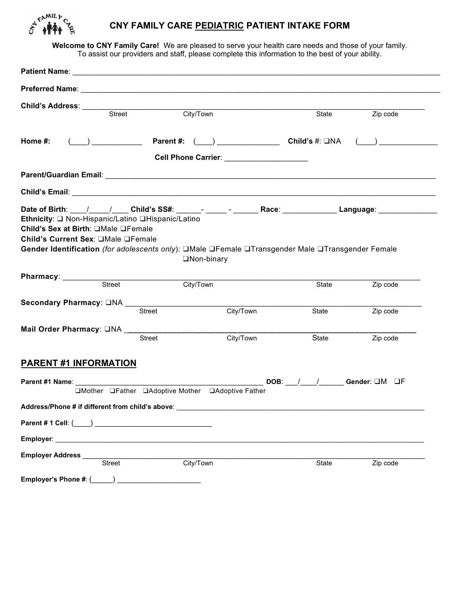

## **CNY FAMILY CARE PEDIATRIC PATIENT INTAKE FORM**

**Welcome to CNY Family Care!** We are pleased to serve your health care needs and those of your family. To assist our providers and staff, please complete this information to the best of your ability.

| <b>Child's Address:</b>                                                   | $rac{1}{\text{Street}}$                                 | City/Town                                                                                                                                                                                                                                                                           | State | Zip code                 |
|---------------------------------------------------------------------------|---------------------------------------------------------|-------------------------------------------------------------------------------------------------------------------------------------------------------------------------------------------------------------------------------------------------------------------------------------|-------|--------------------------|
| Home #:                                                                   |                                                         | Cell Phone Carrier: ______________________                                                                                                                                                                                                                                          |       | $\overline{\phantom{a}}$ |
|                                                                           |                                                         |                                                                                                                                                                                                                                                                                     |       |                          |
|                                                                           |                                                         |                                                                                                                                                                                                                                                                                     |       |                          |
| Child's Sex at Birth: OMale OFemale<br>Child's Current Sex: OMale OFemale | Ethnicity: Q Non-Hispanic/Latino QHispanic/Latino       | Date of Birth: \___/ ___ / ____ Child's SS#: ______- ______- ______ Race: ______________ Language: ___________<br>Gender Identification (for adolescents only): □Male □Female □Transgender Male □Transgender Female<br>□Non-binary                                                  |       |                          |
| Pharmacy: __________                                                      | $\overline{\overline{\text{Street}}}$                   | City/Town                                                                                                                                                                                                                                                                           | State | Zip code                 |
|                                                                           | <b>Street</b>                                           | City/Town                                                                                                                                                                                                                                                                           | State | Zip code                 |
|                                                                           | Mail Order Pharmacy: ONA ____________________<br>Street | City/Town                                                                                                                                                                                                                                                                           | State | Zip code                 |
| <b>PARENT #1 INFORMATION</b>                                              |                                                         |                                                                                                                                                                                                                                                                                     |       |                          |
|                                                                           |                                                         | Parent #1 Name: Case of the Case of the Case of the Case of the Case of the Case of the Case of the Case of the Case of the Case of the Case of the Case of the Case of the Case of the Case of the Case of the Case of the Ca<br>□Mother □Father □Adoptive Mother □Adoptive Father |       |                          |
|                                                                           | Address/Phone # if different from child's above:        |                                                                                                                                                                                                                                                                                     |       |                          |
|                                                                           |                                                         |                                                                                                                                                                                                                                                                                     |       |                          |
|                                                                           |                                                         |                                                                                                                                                                                                                                                                                     |       |                          |
| <b>Employer Address</b>                                                   | Street                                                  | City/Town                                                                                                                                                                                                                                                                           | State | Zip code                 |
| Employer's Phone #: (_____) __________                                    |                                                         |                                                                                                                                                                                                                                                                                     |       |                          |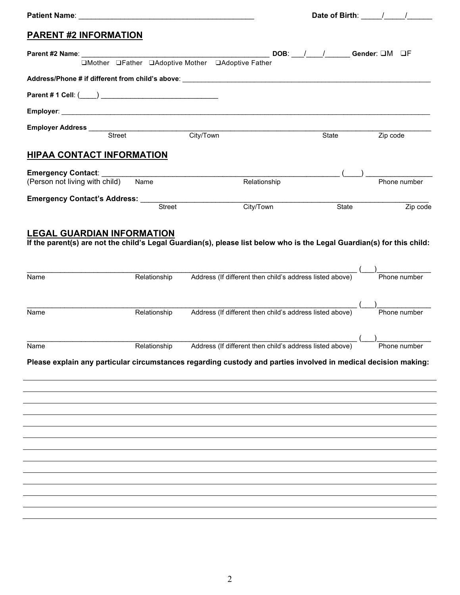| <b>PARENT #2 INFORMATION</b>                      |                              |                                                                                                                                                                                                                                                                                                                                                                    |       |              |
|---------------------------------------------------|------------------------------|--------------------------------------------------------------------------------------------------------------------------------------------------------------------------------------------------------------------------------------------------------------------------------------------------------------------------------------------------------------------|-------|--------------|
|                                                   |                              | □Mother □Father □Adoptive Mother □Adoptive Father                                                                                                                                                                                                                                                                                                                  |       |              |
|                                                   |                              |                                                                                                                                                                                                                                                                                                                                                                    |       |              |
|                                                   |                              |                                                                                                                                                                                                                                                                                                                                                                    |       |              |
|                                                   |                              |                                                                                                                                                                                                                                                                                                                                                                    |       |              |
|                                                   |                              | Employer Address Street City/Town                                                                                                                                                                                                                                                                                                                                  | State | Zip code     |
| <b>HIPAA CONTACT INFORMATION</b>                  |                              |                                                                                                                                                                                                                                                                                                                                                                    |       |              |
| <b>Emergency Contact:</b>                         |                              |                                                                                                                                                                                                                                                                                                                                                                    |       |              |
| (Person not living with child)                    | Name                         | Relationship                                                                                                                                                                                                                                                                                                                                                       |       | Phone number |
|                                                   |                              | City/Town                                                                                                                                                                                                                                                                                                                                                          | State | Zip code     |
| <b>LEGAL GUARDIAN INFORMATION</b><br>Name<br>Name | Relationship<br>Relationship | If the parent(s) are not the child's Legal Guardian(s), please list below who is the Legal Guardian(s) for this child:<br>Address (If different then child's address listed above) (Address (If different then child's address listed above)<br>Address (If different then child's address listed above) (Address (If different then child's address listed above) |       |              |
| Name                                              |                              | Relationship Address (If different then child's address listed above) (2008) Phone number<br>Please explain any particular circumstances regarding custody and parties involved in medical decision making:                                                                                                                                                        |       |              |
|                                                   |                              |                                                                                                                                                                                                                                                                                                                                                                    |       |              |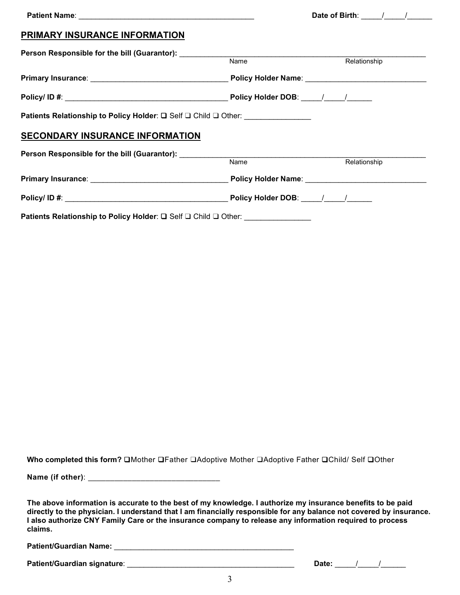| PRIMARY INSURANCE INFORMATION                                                    |                            |              |
|----------------------------------------------------------------------------------|----------------------------|--------------|
| Person Responsible for the bill (Guarantor): ___________________________________ | $\overline{\mathsf{Name}}$ | Relationship |
|                                                                                  |                            |              |
|                                                                                  |                            |              |
|                                                                                  |                            |              |
| Patients Relationship to Policy Holder: □ Self □ Child □ Other: ________________ |                            |              |
| <b>SECONDARY INSURANCE INFORMATION</b>                                           |                            |              |
| Person Responsible for the bill (Guarantor): ___________________________________ |                            |              |
|                                                                                  | <b>Name</b>                | Relationship |
|                                                                                  |                            |              |
|                                                                                  |                            |              |
| Patients Relationship to Policy Holder: Q Self Q Child Q Other:                  |                            |              |

**Who completed this form?** ❑Mother ❑Father ❑Adoptive Mother ❑Adoptive Father ❑Child/ Self ❑Other

**Name (if other)**: \_\_\_\_\_\_\_\_\_\_\_\_\_\_\_\_\_\_\_\_\_\_\_\_\_\_\_\_\_\_

**The above information is accurate to the best of my knowledge. I authorize my insurance benefits to be paid directly to the physician. I understand that I am financially responsible for any balance not covered by insurance. I also authorize CNY Family Care or the insurance company to release any information required to process claims.**

**Patient/Guardian Name:** \_\_\_\_\_\_\_\_\_\_\_\_\_\_\_\_\_\_\_\_\_\_\_\_\_\_\_\_\_\_\_\_\_\_\_\_\_\_\_\_\_\_\_

**Patient/Guardian signature**: \_\_\_\_\_\_\_\_\_\_\_\_\_\_\_\_\_\_\_\_\_\_\_\_\_\_\_\_\_\_\_\_\_\_\_\_\_\_\_\_ **Date:** \_\_\_\_\_/\_\_\_\_\_/\_\_\_\_\_\_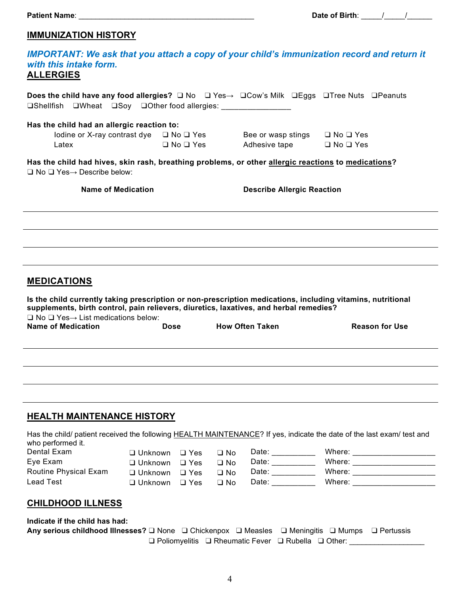# **IMMUNIZATION HISTORY**

| with this intake form.<br><b>ALLERGIES</b>                                                                                                                                      |                                    |                      |              |                                                                                                                                                                                                                                                                                                                                                                                                                                    | <b>IMPORTANT: We ask that you attach a copy of your child's immunization record and return it</b>                      |
|---------------------------------------------------------------------------------------------------------------------------------------------------------------------------------|------------------------------------|----------------------|--------------|------------------------------------------------------------------------------------------------------------------------------------------------------------------------------------------------------------------------------------------------------------------------------------------------------------------------------------------------------------------------------------------------------------------------------------|------------------------------------------------------------------------------------------------------------------------|
| Does the child have any food allergies? $\square$ No $\square$ Yes $\rightarrow \square$ Cow's Milk $\square$ Eggs $\square$ Tree Nuts $\square$ Peanuts<br>$\square$ Shellfish | □Wheat □Soy □Other food allergies: |                      |              |                                                                                                                                                                                                                                                                                                                                                                                                                                    |                                                                                                                        |
| Has the child had an allergic reaction to:<br>Iodine or X-ray contrast dye $\Box$ No $\Box$ Yes<br>Latex                                                                        |                                    | $\Box$ No $\Box$ Yes |              | Bee or wasp stings<br>Adhesive tape                                                                                                                                                                                                                                                                                                                                                                                                | $\Box$ No $\Box$ Yes<br>$\Box$ No $\Box$ Yes                                                                           |
| Has the child had hives, skin rash, breathing problems, or other allergic reactions to medications?<br>$\Box$ No $\Box$ Yes $\rightarrow$ Describe below:                       |                                    |                      |              |                                                                                                                                                                                                                                                                                                                                                                                                                                    |                                                                                                                        |
| <b>Name of Medication</b>                                                                                                                                                       |                                    |                      |              | <b>Describe Allergic Reaction</b>                                                                                                                                                                                                                                                                                                                                                                                                  |                                                                                                                        |
|                                                                                                                                                                                 |                                    |                      |              |                                                                                                                                                                                                                                                                                                                                                                                                                                    |                                                                                                                        |
|                                                                                                                                                                                 |                                    |                      |              |                                                                                                                                                                                                                                                                                                                                                                                                                                    |                                                                                                                        |
|                                                                                                                                                                                 |                                    |                      |              |                                                                                                                                                                                                                                                                                                                                                                                                                                    |                                                                                                                        |
| <b>MEDICATIONS</b>                                                                                                                                                              |                                    |                      |              |                                                                                                                                                                                                                                                                                                                                                                                                                                    |                                                                                                                        |
| supplements, birth control, pain relievers, diuretics, laxatives, and herbal remedies?<br>$\Box$ No $\Box$ Yes $\rightarrow$ List medications below:                            |                                    |                      |              |                                                                                                                                                                                                                                                                                                                                                                                                                                    | Is the child currently taking prescription or non-prescription medications, including vitamins, nutritional            |
| <b>Name of Medication</b>                                                                                                                                                       | <b>Dose</b>                        |                      |              | <b>How Often Taken</b>                                                                                                                                                                                                                                                                                                                                                                                                             | <b>Reason for Use</b>                                                                                                  |
|                                                                                                                                                                                 |                                    |                      |              |                                                                                                                                                                                                                                                                                                                                                                                                                                    |                                                                                                                        |
|                                                                                                                                                                                 |                                    |                      |              |                                                                                                                                                                                                                                                                                                                                                                                                                                    |                                                                                                                        |
| HEALTH MAINTENANCE HISTORY                                                                                                                                                      |                                    |                      |              |                                                                                                                                                                                                                                                                                                                                                                                                                                    |                                                                                                                        |
| who performed it.                                                                                                                                                               |                                    |                      |              |                                                                                                                                                                                                                                                                                                                                                                                                                                    | Has the child/ patient received the following HEALTH MAINTENANCE? If yes, indicate the date of the last exam/ test and |
| Dental Exam                                                                                                                                                                     | □ Unknown                          | $\Box$ Yes           | $\Box$ No    | Date: $\frac{1}{\sqrt{1-\frac{1}{2}}\cdot\frac{1}{2}}$                                                                                                                                                                                                                                                                                                                                                                             | Where: ______________________                                                                                          |
| Eye Exam                                                                                                                                                                        | □ Unknown                          | $\Box$ Yes           | $\Box$ No    | Date: __________                                                                                                                                                                                                                                                                                                                                                                                                                   | Where: _______________________                                                                                         |
| Routine Physical Exam                                                                                                                                                           | □ Unknown                          | $\square$ Yes        | $\Box$ No    | Date: $\frac{1}{\sqrt{1-\frac{1}{2}}\cdot\sqrt{1-\frac{1}{2}}\cdot\sqrt{1-\frac{1}{2}}\cdot\sqrt{1-\frac{1}{2}}\cdot\sqrt{1-\frac{1}{2}}\cdot\sqrt{1-\frac{1}{2}}\cdot\sqrt{1-\frac{1}{2}}\cdot\sqrt{1-\frac{1}{2}}\cdot\sqrt{1-\frac{1}{2}}\cdot\sqrt{1-\frac{1}{2}}\cdot\sqrt{1-\frac{1}{2}}\cdot\sqrt{1-\frac{1}{2}}\cdot\sqrt{1-\frac{1}{2}}\cdot\sqrt{1-\frac{1}{2}}\cdot\sqrt{1-\frac{1}{2}}\cdot\sqrt{1-\frac{1}{2}}\cdot\$ |                                                                                                                        |
| <b>Lead Test</b>                                                                                                                                                                | $\Box$ Unknown                     | $\Box$ Yes           | $\square$ No | Date: __________                                                                                                                                                                                                                                                                                                                                                                                                                   | Where: _______________________                                                                                         |
| <b>CHILDHOOD ILLNESS</b>                                                                                                                                                        |                                    |                      |              |                                                                                                                                                                                                                                                                                                                                                                                                                                    |                                                                                                                        |

**Indicate if the child has had:**

**Any serious childhood Illnesses?** ❑ None ❑ Chickenpox ❑ Measles ❑ Meningitis ❑ Mumps ❑ Pertussis ❑ Poliomyelitis ❑ Rheumatic Fever ❑ Rubella ❑ Other: \_\_\_\_\_\_\_\_\_\_\_\_\_\_\_\_\_\_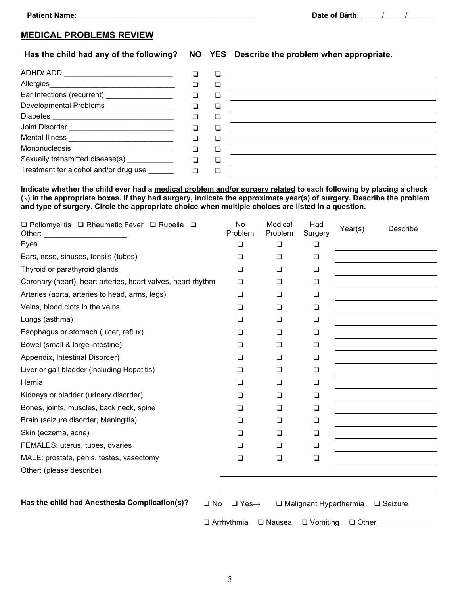#### **MEDICAL PROBLEMS REVIEW**

#### **Has the child had any of the following? NO YES Describe the problem when appropriate.**

| Ear Infections (recurrent) ________________    | □ |  |
|------------------------------------------------|---|--|
| Developmental Problems <b>Example 2018</b>     |   |  |
|                                                |   |  |
| Joint Disorder _______________________________ |   |  |
| Mental Illness <b>Communication</b>            |   |  |
|                                                |   |  |
| Sexually transmitted disease(s) ___________    |   |  |
| Treatment for alcohol and/or drug use          |   |  |

**Indicate whether the child ever had a medical problem and/or surgery related to each following by placing a check (√) in the appropriate boxes. If they had surgery, indicate the approximate year(s) of surgery. Describe the problem and type of surgery. Circle the appropriate choice when multiple choices are listed in a question.**

| $\Box$ Poliomyelitis $\Box$ Rheumatic Fever $\Box$ Rubella $\Box$<br>Other: | No<br>Problem | Medical<br>Problem | Had<br>Surgery | Year(s) | Describe |
|-----------------------------------------------------------------------------|---------------|--------------------|----------------|---------|----------|
| Eyes                                                                        | $\Box$        | $\Box$             | $\Box$         |         |          |
| Ears, nose, sinuses, tonsils (tubes)                                        | $\Box$        | $\Box$             | □              |         |          |
| Thyroid or parathyroid glands                                               | $\Box$        | $\Box$             | ❏              |         |          |
| Coronary (heart), heart arteries, heart valves, heart rhythm                | $\Box$        | $\Box$             | □              |         |          |
| Arteries (aorta, arteries to head, arms, legs)                              | $\Box$        | $\Box$             | $\Box$         |         |          |
| Veins, blood clots in the veins                                             | ❏             | $\Box$             | □              |         |          |
| Lungs (asthma)                                                              | $\Box$        | $\Box$             | ❏              |         |          |
| Esophagus or stomach (ulcer, reflux)                                        | ◻             | $\Box$             | □              |         |          |
| Bowel (small & large intestine)                                             | $\Box$        | $\Box$             | $\Box$         |         |          |
| Appendix, Intestinal Disorder)                                              | $\Box$        | $\Box$             | $\Box$         |         |          |
| Liver or gall bladder (including Hepatitis)                                 | $\Box$        | $\Box$             | □              |         |          |
| Hernia                                                                      | $\Box$        | $\Box$             | ◻              |         |          |
| Kidneys or bladder (urinary disorder)                                       | $\Box$        | $\Box$             | $\Box$         |         |          |
| Bones, joints, muscles, back neck, spine                                    | $\Box$        | $\Box$             | $\Box$         |         |          |
| Brain (seizure disorder, Meningitis)                                        | $\Box$        | $\Box$             | $\Box$         |         |          |
| Skin (eczema, acne)                                                         | $\Box$        | $\Box$             | $\Box$         |         |          |
| FEMALES: uterus, tubes, ovaries                                             | □             | ◻                  | ❏              |         |          |
| MALE: prostate, penis, testes, vasectomy                                    | $\Box$        | $\Box$             | $\Box$         |         |          |
| Other: (please describe)                                                    |               |                    |                |         |          |
|                                                                             |               |                    |                |         |          |

**Has the child had Anesthesia Complication(s)?** ❑ No ❑ Yes→ ❑ Malignant Hyperthermia ❑ Seizure

❑ Arrhythmia ❑ Nausea ❑ Vomiting ❑ Other\_\_\_\_\_\_\_\_\_\_\_\_\_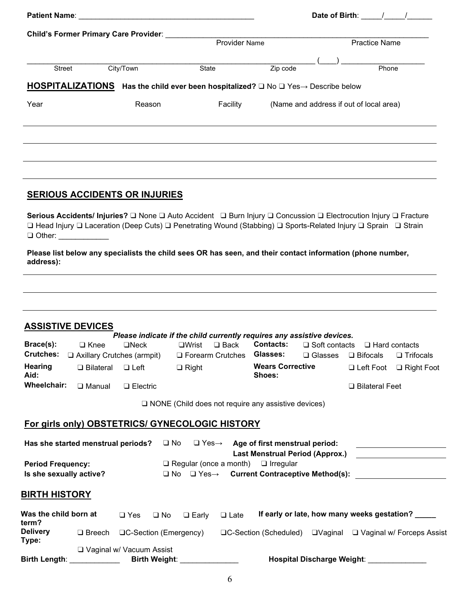|        |                                                                                                                 | Date of Birth: / |          |                                         |  |  |  |  |
|--------|-----------------------------------------------------------------------------------------------------------------|------------------|----------|-----------------------------------------|--|--|--|--|
|        | <b>Child's Former Primary Care Provider:</b>                                                                    |                  |          |                                         |  |  |  |  |
|        |                                                                                                                 | Provider Name    |          | <b>Practice Name</b>                    |  |  |  |  |
|        |                                                                                                                 |                  |          |                                         |  |  |  |  |
| Street | City/Town                                                                                                       | State            | Zip code | Phone                                   |  |  |  |  |
|        | <b>HOSPITALIZATIONS</b> Has the child ever been hospitalized? $\Box$ No $\Box$ Yes $\rightarrow$ Describe below |                  |          |                                         |  |  |  |  |
| Year   | Reason                                                                                                          | Facility         |          | (Name and address if out of local area) |  |  |  |  |
|        |                                                                                                                 |                  |          |                                         |  |  |  |  |
|        |                                                                                                                 |                  |          |                                         |  |  |  |  |
|        |                                                                                                                 |                  |          |                                         |  |  |  |  |
|        |                                                                                                                 |                  |          |                                         |  |  |  |  |
|        |                                                                                                                 |                  |          |                                         |  |  |  |  |
|        |                                                                                                                 |                  |          |                                         |  |  |  |  |
|        | <b>SERIOUS ACCIDENTS OR INJURIES</b>                                                                            |                  |          |                                         |  |  |  |  |
|        |                                                                                                                 |                  |          |                                         |  |  |  |  |

**Serious Accidents/ Injuries?** ❑ None ❑ Auto Accident ❑ Burn Injury ❑ Concussion ❑ Electrocution Injury ❑ Fracture ❑ Head Injury ❑ Laceration (Deep Cuts) ❑ Penetrating Wound (Stabbing) ❑ Sports-Related Injury ❑ Sprain ❑ Strain ❑ Other: \_\_\_\_\_\_\_\_\_\_\_\_

**Please list below any specialists the child sees OR has seen, and their contact information (phone number, address):**

|                                | <b>ASSISTIVE DEVICES</b>                        |                                             |              |                                                          |             |                                                                                                             |                      |                                             |                                                                                                                     |
|--------------------------------|-------------------------------------------------|---------------------------------------------|--------------|----------------------------------------------------------|-------------|-------------------------------------------------------------------------------------------------------------|----------------------|---------------------------------------------|---------------------------------------------------------------------------------------------------------------------|
|                                |                                                 |                                             |              |                                                          |             | Please indicate if the child currently requires any assistive devices.                                      |                      |                                             |                                                                                                                     |
| Brace(s):                      | $\Box$ Knee                                     | $\Box$ Neck                                 |              | $\square$ Wrist                                          | $\Box$ Back | <b>Contacts:</b>                                                                                            | $\Box$ Soft contacts | $\Box$ Hard contacts                        |                                                                                                                     |
| <b>Crutches:</b>               | □ Axillary Crutches (armpit)                    |                                             |              | □ Forearm Crutches                                       |             | Glasses:                                                                                                    | $\square$ Glasses    | $\Box$ Bifocals                             | $\Box$ Trifocals                                                                                                    |
| <b>Hearing</b><br>Aid:         | $\Box$ Bilateral                                | $\Box$ Left                                 |              | $\Box$ Right                                             |             | <b>Wears Corrective</b><br>Shoes:                                                                           |                      |                                             | $\Box$ Left Foot $\Box$ Right Foot                                                                                  |
| Wheelchair:                    | $\square$ Manual                                | $\Box$ Electric                             |              |                                                          |             |                                                                                                             |                      | □ Bilateral Feet                            |                                                                                                                     |
|                                | For girls only) OBSTETRICS/ GYNECOLOGIC HISTORY |                                             |              |                                                          |             | $\Box$ NONE (Child does not require any assistive devices)                                                  |                      |                                             |                                                                                                                     |
|                                |                                                 |                                             |              |                                                          |             |                                                                                                             |                      |                                             |                                                                                                                     |
|                                | Has she started menstrual periods?              |                                             |              |                                                          |             | $\Box$ No $\Box$ Yes $\rightarrow$ Age of first menstrual period:<br><b>Last Menstrual Period (Approx.)</b> |                      |                                             | <u> 1989 - Johann Barn, fransk politik (d. 1989)</u>                                                                |
| <b>Period Frequency:</b>       |                                                 |                                             |              |                                                          |             | $\Box$ Regular (once a month) $\Box$ Irregular                                                              |                      |                                             | <u> 1980 - Jan James Barbara, politik eta politik eta politik eta politik eta politik eta politik eta politik e</u> |
| Is she sexually active?        |                                                 |                                             |              |                                                          |             | $\Box$ No $\Box$ Yes $\rightarrow$ Current Contraceptive Method(s):                                         |                      |                                             |                                                                                                                     |
|                                |                                                 |                                             |              |                                                          |             |                                                                                                             |                      |                                             |                                                                                                                     |
| <b>BIRTH HISTORY</b>           |                                                 |                                             |              |                                                          |             |                                                                                                             |                      |                                             |                                                                                                                     |
| Was the child born at<br>term? |                                                 | $\Box$ Yes                                  | $\square$ No | $\Box$ Early                                             | $\Box$ Late |                                                                                                             |                      | If early or late, how many weeks gestation? |                                                                                                                     |
| Delivery<br>Type:              |                                                 | $\Box$ Breech $\Box C$ -Section (Emergency) |              |                                                          |             |                                                                                                             |                      |                                             | □C-Section (Scheduled) □Vaginal □ Vaginal w/ Forceps Assist                                                         |
|                                | <b>Birth Length:</b>                            | □ Vaginal w/ Vacuum Assist                  |              | Birth Weight: <b>Contract Contract Contract Contract</b> |             |                                                                                                             |                      | Hospital Discharge Weight:                  |                                                                                                                     |
|                                |                                                 |                                             |              |                                                          |             |                                                                                                             |                      |                                             |                                                                                                                     |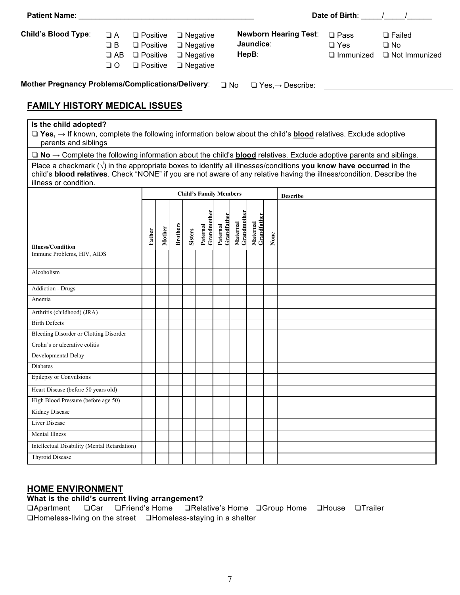| <b>Patient Name: Example 2018</b>                                                                                                                                                                                                                                                                                                                                                                                                                                                                                                                                                                                        |                                               |                                                                                      |        |                 |                |                                                                                   |                         |                         |                         |      |                                     | Date of Birth: / /                                  |                                                    |
|--------------------------------------------------------------------------------------------------------------------------------------------------------------------------------------------------------------------------------------------------------------------------------------------------------------------------------------------------------------------------------------------------------------------------------------------------------------------------------------------------------------------------------------------------------------------------------------------------------------------------|-----------------------------------------------|--------------------------------------------------------------------------------------|--------|-----------------|----------------|-----------------------------------------------------------------------------------|-------------------------|-------------------------|-------------------------|------|-------------------------------------|-----------------------------------------------------|----------------------------------------------------|
| <b>Child's Blood Type:</b>                                                                                                                                                                                                                                                                                                                                                                                                                                                                                                                                                                                               | $\Box A$<br>$\Box$ B<br>$\Box$ AB<br>$\Box$ O | $\square$ Positive<br>$\square$ Positive<br>$\square$ Positive<br>$\square$ Positive |        |                 |                | $\Box$ Negative<br>$\square$ Negative<br>$\square$ Negative<br>$\square$ Negative |                         |                         | Jaundice:<br>HepB:      |      | <b>Newborn Hearing Test:</b>        | $\square$ Pass<br>$\Box$ Yes<br>$\square$ Immunized | $\Box$ Failed<br>$\Box$ No<br>$\Box$ Not Immunized |
| <b>Mother Pregnancy Problems/Complications/Delivery:</b>                                                                                                                                                                                                                                                                                                                                                                                                                                                                                                                                                                 |                                               |                                                                                      |        |                 |                |                                                                                   | $\Box$ No               |                         |                         |      | $\Box$ Yes, $\rightarrow$ Describe: |                                                     |                                                    |
| <b>FAMILY HISTORY MEDICAL ISSUES</b>                                                                                                                                                                                                                                                                                                                                                                                                                                                                                                                                                                                     |                                               |                                                                                      |        |                 |                |                                                                                   |                         |                         |                         |      |                                     |                                                     |                                                    |
| Is the child adopted?<br>$\Box$ Yes, $\rightarrow$ If known, complete the following information below about the child's <b>blood</b> relatives. Exclude adoptive<br>parents and siblings<br>$\Box$ No $\rightarrow$ Complete the following information about the child's <b>blood</b> relatives. Exclude adoptive parents and siblings.<br>Place a checkmark $(\sqrt{ } )$ in the appropriate boxes to identify all illnesses/conditions you know have occurred in the<br>child's blood relatives. Check "NONE" if you are not aware of any relative having the illness/condition. Describe the<br>illness or condition. |                                               |                                                                                      |        |                 |                |                                                                                   |                         |                         |                         |      |                                     |                                                     |                                                    |
|                                                                                                                                                                                                                                                                                                                                                                                                                                                                                                                                                                                                                          |                                               | Father                                                                               | Mother | <b>Brothers</b> | <b>Sisters</b> | <b>Child's Family Members</b><br>Paternal<br>Grandmothe                           | Paternal<br>Grandfather | Maternal<br>Grandmother | Grandfather<br>Maternal | None | <b>Describe</b>                     |                                                     |                                                    |
| <b>Illness/Condition</b><br>Immune Problems, HIV, AIDS                                                                                                                                                                                                                                                                                                                                                                                                                                                                                                                                                                   |                                               |                                                                                      |        |                 |                |                                                                                   |                         |                         |                         |      |                                     |                                                     |                                                    |
| Alcoholism                                                                                                                                                                                                                                                                                                                                                                                                                                                                                                                                                                                                               |                                               |                                                                                      |        |                 |                |                                                                                   |                         |                         |                         |      |                                     |                                                     |                                                    |
| <b>Addiction - Drugs</b>                                                                                                                                                                                                                                                                                                                                                                                                                                                                                                                                                                                                 |                                               |                                                                                      |        |                 |                |                                                                                   |                         |                         |                         |      |                                     |                                                     |                                                    |
| Anemia                                                                                                                                                                                                                                                                                                                                                                                                                                                                                                                                                                                                                   |                                               |                                                                                      |        |                 |                |                                                                                   |                         |                         |                         |      |                                     |                                                     |                                                    |
| Arthritis (childhood) (JRA)                                                                                                                                                                                                                                                                                                                                                                                                                                                                                                                                                                                              |                                               |                                                                                      |        |                 |                |                                                                                   |                         |                         |                         |      |                                     |                                                     |                                                    |
| <b>Birth Defects</b>                                                                                                                                                                                                                                                                                                                                                                                                                                                                                                                                                                                                     |                                               |                                                                                      |        |                 |                |                                                                                   |                         |                         |                         |      |                                     |                                                     |                                                    |
| Bleeding Disorder or Clotting Disorder                                                                                                                                                                                                                                                                                                                                                                                                                                                                                                                                                                                   |                                               |                                                                                      |        |                 |                |                                                                                   |                         |                         |                         |      |                                     |                                                     |                                                    |
| Crohn's or ulcerative colitis                                                                                                                                                                                                                                                                                                                                                                                                                                                                                                                                                                                            |                                               |                                                                                      |        |                 |                |                                                                                   |                         |                         |                         |      |                                     |                                                     |                                                    |
| Developmental Delay                                                                                                                                                                                                                                                                                                                                                                                                                                                                                                                                                                                                      |                                               |                                                                                      |        |                 |                |                                                                                   |                         |                         |                         |      |                                     |                                                     |                                                    |
| Diabetes                                                                                                                                                                                                                                                                                                                                                                                                                                                                                                                                                                                                                 |                                               |                                                                                      |        |                 |                |                                                                                   |                         |                         |                         |      |                                     |                                                     |                                                    |
| Epilepsy or Convulsions                                                                                                                                                                                                                                                                                                                                                                                                                                                                                                                                                                                                  |                                               |                                                                                      |        |                 |                |                                                                                   |                         |                         |                         |      |                                     |                                                     |                                                    |
| Heart Disease (before 50 years old)                                                                                                                                                                                                                                                                                                                                                                                                                                                                                                                                                                                      |                                               |                                                                                      |        |                 |                |                                                                                   |                         |                         |                         |      |                                     |                                                     |                                                    |
| High Blood Pressure (before age 50)                                                                                                                                                                                                                                                                                                                                                                                                                                                                                                                                                                                      |                                               |                                                                                      |        |                 |                |                                                                                   |                         |                         |                         |      |                                     |                                                     |                                                    |

### **HOME ENVIRONMENT**

Intellectual Disability (Mental Retardation)

Kidney Disease Liver Disease Mental Illness

Thyroid Disease

### **What is the child's current living arrangement?**

❑Apartment ❑Car ❑Friend's Home ❑Relative's Home ❑Group Home ❑House ❑Trailer ❑Homeless-living on the street ❑Homeless-staying in a shelter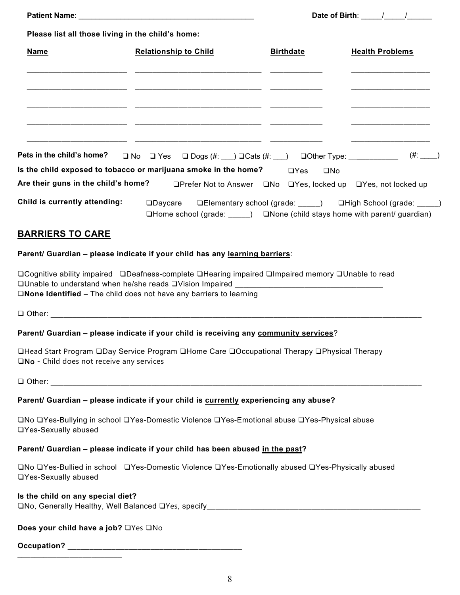|                                                    |                                                                                                                                                                                                                                                                           | Date of Birth: $\frac{1}{\sqrt{1-\frac{1}{2}}}\frac{1}{\sqrt{1-\frac{1}{2}}}\frac{1}{\sqrt{1-\frac{1}{2}}}\frac{1}{\sqrt{1-\frac{1}{2}}}\frac{1}{\sqrt{1-\frac{1}{2}}}\frac{1}{\sqrt{1-\frac{1}{2}}}\frac{1}{\sqrt{1-\frac{1}{2}}}\frac{1}{\sqrt{1-\frac{1}{2}}}\frac{1}{\sqrt{1-\frac{1}{2}}}\frac{1}{\sqrt{1-\frac{1}{2}}}\frac{1}{\sqrt{1-\frac{1}{2}}}\frac{1}{\sqrt{1-\frac{1}{2}}}\frac{1}{\sqrt{1-\frac{1$ |                        |  |  |  |  |  |
|----------------------------------------------------|---------------------------------------------------------------------------------------------------------------------------------------------------------------------------------------------------------------------------------------------------------------------------|-------------------------------------------------------------------------------------------------------------------------------------------------------------------------------------------------------------------------------------------------------------------------------------------------------------------------------------------------------------------------------------------------------------------|------------------------|--|--|--|--|--|
| Please list all those living in the child's home:  |                                                                                                                                                                                                                                                                           |                                                                                                                                                                                                                                                                                                                                                                                                                   |                        |  |  |  |  |  |
| <b>Name</b>                                        | <b>Relationship to Child</b>                                                                                                                                                                                                                                              | <b>Birthdate</b>                                                                                                                                                                                                                                                                                                                                                                                                  | <b>Health Problems</b> |  |  |  |  |  |
|                                                    | <u> 1990 - Jan James James, amerikansk politik (d. 1980)</u>                                                                                                                                                                                                              |                                                                                                                                                                                                                                                                                                                                                                                                                   |                        |  |  |  |  |  |
| Pets in the child's home?                          | $\Box$ No $\Box$ Yes $\Box$ Dogs (#: __) $\Box$ Cats (#: __) $\Box$ Other Type: ___________ (#: __)                                                                                                                                                                       |                                                                                                                                                                                                                                                                                                                                                                                                                   |                        |  |  |  |  |  |
|                                                    | Is the child exposed to tobacco or marijuana smoke in the home? $\Box$ Yes                                                                                                                                                                                                | $\square$ No                                                                                                                                                                                                                                                                                                                                                                                                      |                        |  |  |  |  |  |
|                                                    | Are their guns in the child's home? DPrefer Not to Answer QNo QYes, locked up QYes, not locked up                                                                                                                                                                         |                                                                                                                                                                                                                                                                                                                                                                                                                   |                        |  |  |  |  |  |
| Child is currently attending:                      | □Daycare □Elementary school (grade: ____) □High School (grade: ____)<br>$\Box$ Home school (grade: $\Box$ ) $\Box$ None (child stays home with parent/ guardian)                                                                                                          |                                                                                                                                                                                                                                                                                                                                                                                                                   |                        |  |  |  |  |  |
| <u>BARRIERS TO CARE</u>                            |                                                                                                                                                                                                                                                                           |                                                                                                                                                                                                                                                                                                                                                                                                                   |                        |  |  |  |  |  |
|                                                    | Parent/ Guardian - please indicate if your child has any learning barriers:                                                                                                                                                                                               |                                                                                                                                                                                                                                                                                                                                                                                                                   |                        |  |  |  |  |  |
|                                                    | □Cognitive ability impaired ❑Deafness-complete □Hearing impaired □Impaired memory □Unable to read<br>$\square$ Unable to understand when he/she reads $\square$ Vision Impaired $\square$<br>$\square$ None Identified – The child does not have any barriers to learning |                                                                                                                                                                                                                                                                                                                                                                                                                   |                        |  |  |  |  |  |
|                                                    | <b>Q Other: Communication of the Communication of the Communication of the Communication of the Communication</b>                                                                                                                                                         |                                                                                                                                                                                                                                                                                                                                                                                                                   |                        |  |  |  |  |  |
|                                                    | Parent/ Guardian - please indicate if your child is receiving any community services?                                                                                                                                                                                     |                                                                                                                                                                                                                                                                                                                                                                                                                   |                        |  |  |  |  |  |
| $\square$ No - Child does not receive any services | <b>QHead Start Program QDay Service Program QHome Care QOccupational Therapy QPhysical Therapy</b>                                                                                                                                                                        |                                                                                                                                                                                                                                                                                                                                                                                                                   |                        |  |  |  |  |  |
|                                                    |                                                                                                                                                                                                                                                                           |                                                                                                                                                                                                                                                                                                                                                                                                                   |                        |  |  |  |  |  |
|                                                    | Parent/ Guardian – please indicate if your child is <b>currently experiencing any abuse?</b>                                                                                                                                                                              |                                                                                                                                                                                                                                                                                                                                                                                                                   |                        |  |  |  |  |  |
| □Yes-Sexually abused                               | <b>□No □Yes-Bullying in school □Yes-Domestic Violence □Yes-Emotional abuse □Yes-Physical abuse</b>                                                                                                                                                                        |                                                                                                                                                                                                                                                                                                                                                                                                                   |                        |  |  |  |  |  |
|                                                    | Parent/ Guardian - please indicate if your child has been abused in the past?                                                                                                                                                                                             |                                                                                                                                                                                                                                                                                                                                                                                                                   |                        |  |  |  |  |  |
| □Yes-Sexually abused                               | □No □Yes-Bullied in school □Yes-Domestic Violence □Yes-Emotionally abused □Yes-Physically abused                                                                                                                                                                          |                                                                                                                                                                                                                                                                                                                                                                                                                   |                        |  |  |  |  |  |
| Is the child on any special diet?                  |                                                                                                                                                                                                                                                                           |                                                                                                                                                                                                                                                                                                                                                                                                                   |                        |  |  |  |  |  |
| Does your child have a job? OYes ONo               |                                                                                                                                                                                                                                                                           |                                                                                                                                                                                                                                                                                                                                                                                                                   |                        |  |  |  |  |  |
|                                                    |                                                                                                                                                                                                                                                                           |                                                                                                                                                                                                                                                                                                                                                                                                                   |                        |  |  |  |  |  |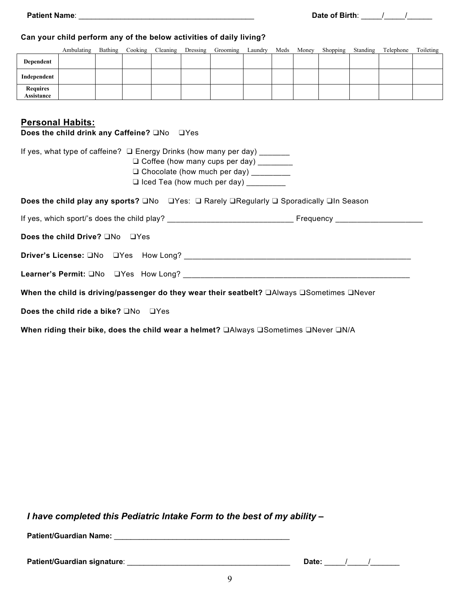#### **Can your child perform any of the below activities of daily living?**

|                               | Ambulating | Bathing | Cooking | Cleaning | Dressing | Grooming | Laundry | Meds | Money | Shopping | Standing | Telephone | Toileting |
|-------------------------------|------------|---------|---------|----------|----------|----------|---------|------|-------|----------|----------|-----------|-----------|
| Dependent                     |            |         |         |          |          |          |         |      |       |          |          |           |           |
| Independent                   |            |         |         |          |          |          |         |      |       |          |          |           |           |
| <b>Requires</b><br>Assistance |            |         |         |          |          |          |         |      |       |          |          |           |           |

## **Personal Habits:**

**Does the child drink any Caffeine?** ❑No ❑Yes

| If yes, what type of caffeine? □ Energy Drinks (how many per day) ______<br>□ Coffee (how many cups per day) ________<br>□ Chocolate (how much per day) _________<br>$\Box$ Iced Tea (how much per day) $\Box$ |
|----------------------------------------------------------------------------------------------------------------------------------------------------------------------------------------------------------------|
| <b>Does the child play any sports?</b> $\square$ No $\square$ Yes: $\square$ Rarely $\square$ Regularly $\square$ Sporadically $\square$ In Season                                                             |
|                                                                                                                                                                                                                |
| Does the child Drive? ONo OYes                                                                                                                                                                                 |
|                                                                                                                                                                                                                |
|                                                                                                                                                                                                                |
| When the child is driving/passenger do they wear their seatbelt? □Always □Sometimes □Never                                                                                                                     |
| <b>Does the child ride a bike?</b> $\Box$ No $\Box$ Yes                                                                                                                                                        |
| When riding their bike, does the child wear a helmet? □Always □Sometimes □Never □N/A                                                                                                                           |

*I have completed this Pediatric Intake Form to the best of my ability –*

**Patient/Guardian Name:** \_\_\_\_\_\_\_\_\_\_\_\_\_\_\_\_\_\_\_\_\_\_\_\_\_\_\_\_\_\_\_\_\_\_\_\_\_\_\_\_\_\_

**Patient/Guardian signature**: \_\_\_\_\_\_\_\_\_\_\_\_\_\_\_\_\_\_\_\_\_\_\_\_\_\_\_\_\_\_\_\_\_\_\_\_\_\_\_ **Date:** \_\_\_\_\_/\_\_\_\_\_/\_\_\_\_\_\_\_